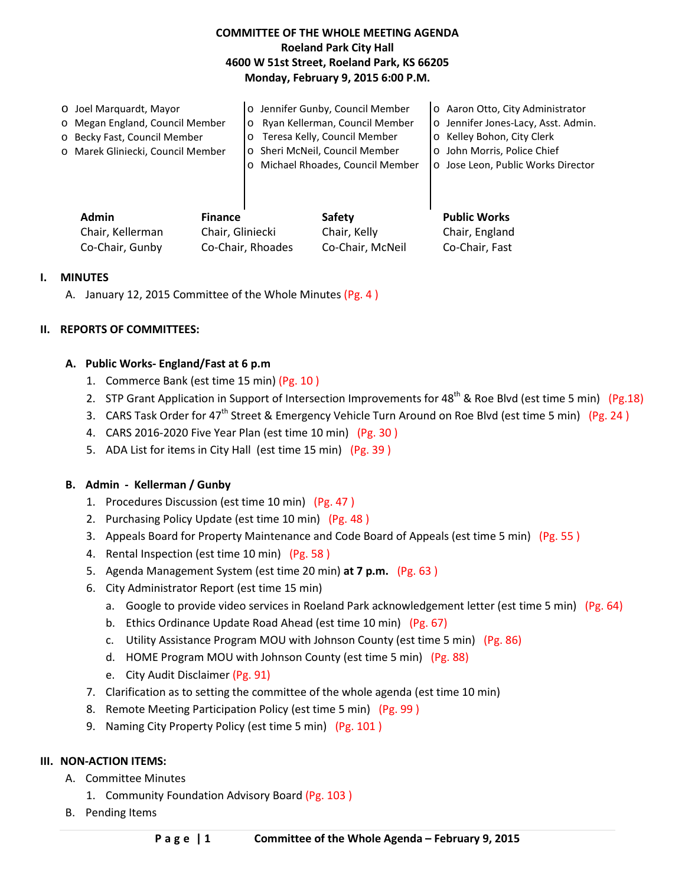## **COMMITTEE OF THE WHOLE MEETING AGENDA Roeland Park City Hall 4600 W 51st Street, Roeland Park, KS 66205 Monday, February 9, 2015 6:00 P.M.**

| Admin<br><b>Finance</b>           |         | Safetv                            | <b>Public Works</b>                 |
|-----------------------------------|---------|-----------------------------------|-------------------------------------|
|                                   |         |                                   |                                     |
|                                   |         | o Michael Rhoades, Council Member | o Jose Leon, Public Works Director  |
| o Marek Gliniecki, Council Member |         | o Sheri McNeil, Council Member    | o John Morris, Police Chief         |
| o Becky Fast, Council Member      | $\circ$ | Teresa Kelly, Council Member      | <b>O</b> Kelley Bohon, City Clerk   |
| o Megan England, Council Member   | $\circ$ | Ryan Kellerman, Council Member    | o Jennifer Jones-Lacy, Asst. Admin. |
| ○ Joel Marguardt, Mayor           |         | o Jennifer Gunby, Council Member  | o Aaron Otto, City Administrator    |

| Admin            | <b>Finance</b>    | Safety           | <b>Public Works</b> |
|------------------|-------------------|------------------|---------------------|
| Chair, Kellerman | Chair, Gliniecki  | Chair, Kelly     | Chair, England      |
| Co-Chair, Gunby  | Co-Chair, Rhoades | Co-Chair. McNeil | Co-Chair, Fast      |

#### **I. MINUTES**

A. January 12, 2015 Committee of the Whole Minutes (Pg. 4 )

## **II. REPORTS OF COMMITTEES:**

#### **A. Public Works- England/Fast at 6 p.m**

- 1. Commerce Bank (est time 15 min) (Pg. 10 )
- 2. STP Grant Application in Support of Intersection Improvements for 48<sup>th</sup> & Roe Blvd (est time 5 min) (Pg.18)
- 3. CARS Task Order for 47<sup>th</sup> Street & Emergency Vehicle Turn Around on Roe Blvd (est time 5 min) (Pg. 24)
- 4. CARS 2016-2020 Five Year Plan (est time 10 min) (Pg. 30 )
- 5. ADA List for items in City Hall (est time 15 min) (Pg. 39 )

## **B. Admin - Kellerman / Gunby**

- 1. Procedures Discussion (est time 10 min) (Pg. 47 )
- 2. Purchasing Policy Update (est time 10 min) (Pg. 48)
- 3. Appeals Board for Property Maintenance and Code Board of Appeals (est time 5 min) (Pg. 55 )
- 4. Rental Inspection (est time 10 min) (Pg. 58 )
- 5. Agenda Management System (est time 20 min) **at 7 p.m.** (Pg. 63 )
- 6. City Administrator Report (est time 15 min)
	- a. Google to provide video services in Roeland Park acknowledgement letter (est time 5 min) (Pg. 64)
	- b. Ethics Ordinance Update Road Ahead (est time 10 min) (Pg. 67)
	- c. Utility Assistance Program MOU with Johnson County (est time 5 min) (Pg. 86)
	- d. HOME Program MOU with Johnson County (est time 5 min) (Pg. 88)
	- e. City Audit Disclaimer (Pg. 91)
- 7. Clarification as to setting the committee of the whole agenda (est time 10 min)
- 8. Remote Meeting Participation Policy (est time 5 min) (Pg. 99 )
- 9. Naming City Property Policy (est time 5 min) (Pg. 101 )

#### **III. NON-ACTION ITEMS:**

- A. Committee Minutes
	- 1. Community Foundation Advisory Board (Pg. 103 )
- B. Pending Items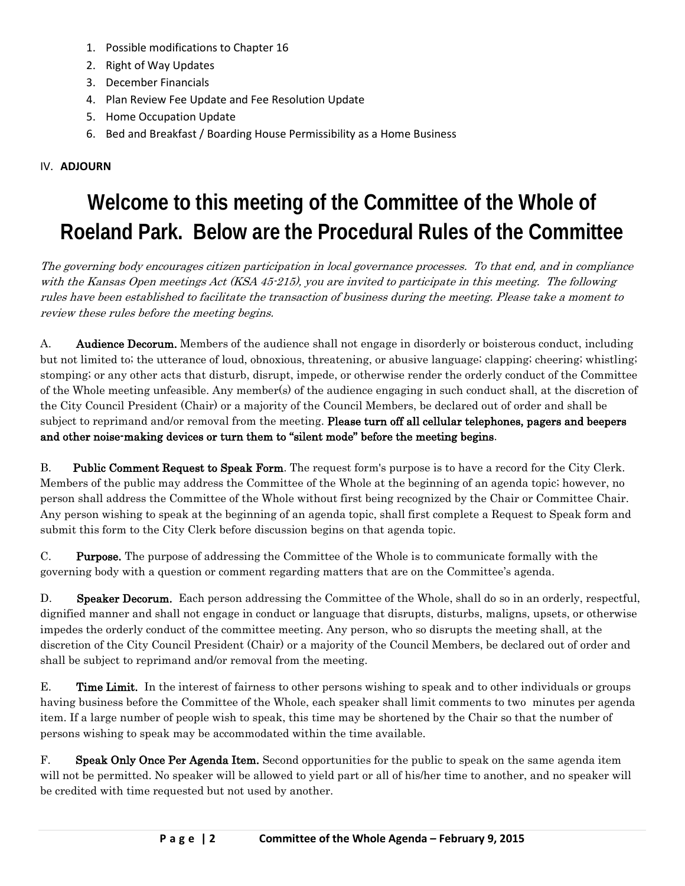- 1. Possible modifications to Chapter 16
- 2. Right of Way Updates
- 3. December Financials
- 4. Plan Review Fee Update and Fee Resolution Update
- 5. Home Occupation Update
- 6. Bed and Breakfast / Boarding House Permissibility as a Home Business

# IV. **ADJOURN**

# **Welcome to this meeting of the Committee of the Whole of Roeland Park. Below are the Procedural Rules of the Committee**

The governing body encourages citizen participation in local governance processes. To that end, and in compliance with the Kansas Open meetings Act (KSA 45-215), you are invited to participate in this meeting. The following rules have been established to facilitate the transaction of business during the meeting. Please take a moment to review these rules before the meeting begins.

A. **Audience Decorum.** Members of the audience shall not engage in disorderly or boisterous conduct, including but not limited to; the utterance of loud, obnoxious, threatening, or abusive language; clapping; cheering; whistling; stomping; or any other acts that disturb, disrupt, impede, or otherwise render the orderly conduct of the Committee of the Whole meeting unfeasible. Any member(s) of the audience engaging in such conduct shall, at the discretion of the City Council President (Chair) or a majority of the Council Members, be declared out of order and shall be subject to reprimand and/or removal from the meeting. Please turn off all cellular telephones, pagers and beepers and other noise-making devices or turn them to "silent mode" before the meeting begins.

B. Public Comment Request to Speak Form. The request form's purpose is to have a record for the City Clerk. Members of the public may address the Committee of the Whole at the beginning of an agenda topic; however, no person shall address the Committee of the Whole without first being recognized by the Chair or Committee Chair. Any person wishing to speak at the beginning of an agenda topic, shall first complete a Request to Speak form and submit this form to the City Clerk before discussion begins on that agenda topic.

C. Purpose. The purpose of addressing the Committee of the Whole is to communicate formally with the governing body with a question or comment regarding matters that are on the Committee's agenda.

D. Speaker Decorum. Each person addressing the Committee of the Whole, shall do so in an orderly, respectful, dignified manner and shall not engage in conduct or language that disrupts, disturbs, maligns, upsets, or otherwise impedes the orderly conduct of the committee meeting. Any person, who so disrupts the meeting shall, at the discretion of the City Council President (Chair) or a majority of the Council Members, be declared out of order and shall be subject to reprimand and/or removal from the meeting.

E. Time Limit. In the interest of fairness to other persons wishing to speak and to other individuals or groups having business before the Committee of the Whole, each speaker shall limit comments to two minutes per agenda item. If a large number of people wish to speak, this time may be shortened by the Chair so that the number of persons wishing to speak may be accommodated within the time available.

F. Speak Only Once Per Agenda Item. Second opportunities for the public to speak on the same agenda item will not be permitted. No speaker will be allowed to yield part or all of his/her time to another, and no speaker will be credited with time requested but not used by another.